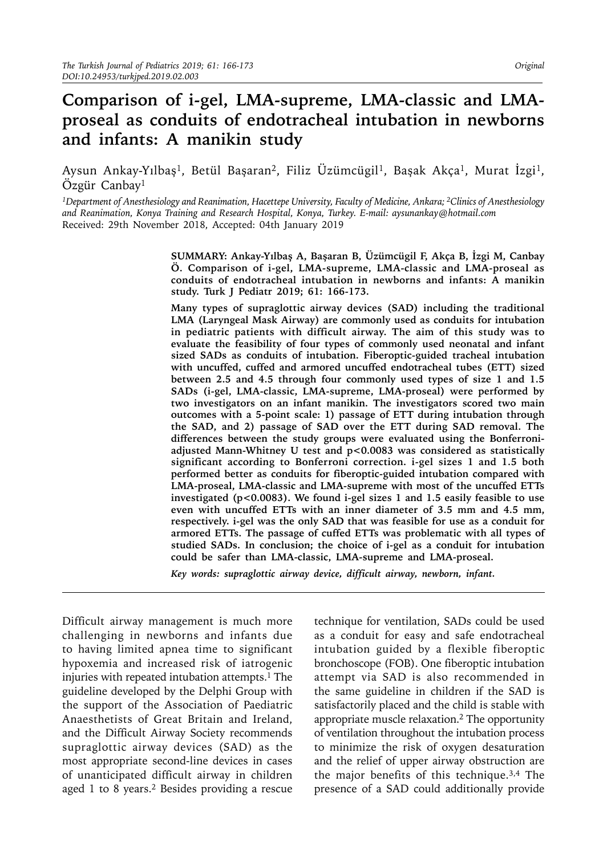# **Comparison of i-gel, LMA-supreme, LMA-classic and LMAproseal as conduits of endotracheal intubation in newborns and infants: A manikin study**

Aysun Ankay-Yılbaş<sup>1</sup>, Betül Başaran<sup>2</sup>, Filiz Üzümcügil<sup>1</sup>, Başak Akça<sup>1</sup>, Murat İzgi<sup>1</sup>, Özgür Canbay<sup>1</sup>

*1Department of Anesthesiology and Reanimation, Hacettepe University, Faculty of Medicine, Ankara; 2Clinics of Anesthesiology and Reanimation, Konya Training and Research Hospital, Konya, Turkey. E-mail: [aysunankay@hotmail.com](mailto:aysunankay@hotmail.com)* Received: 29th November 2018, Accepted: 04th January 2019

> **SUMMARY: Ankay-Yılbaş A, Başaran B, Üzümcügil F, Akça B, İzgi M, Canbay Ö. Comparison of i-gel, LMA-supreme, LMA-classic and LMA-proseal as conduits of endotracheal intubation in newborns and infants: A manikin study. Turk J Pediatr 2019; 61: 166-173.**

> **Many types of supraglottic airway devices (SAD) including the traditional LMA (Laryngeal Mask Airway) are commonly used as conduits for intubation in pediatric patients with difficult airway. The aim of this study was to evaluate the feasibility of four types of commonly used neonatal and infant sized SADs as conduits of intubation. Fiberoptic-guided tracheal intubation with uncuffed, cuffed and armored uncuffed endotracheal tubes (ETT) sized between 2.5 and 4.5 through four commonly used types of size 1 and 1.5 SADs (i-gel, LMA-classic, LMA-supreme, LMA-proseal) were performed by two investigators on an infant manikin. The investigators scored two main outcomes with a 5-point scale: 1) passage of ETT during intubation through the SAD, and 2) passage of SAD over the ETT during SAD removal. The differences between the study groups were evaluated using the Bonferroniadjusted Mann-Whitney U test and p<0.0083 was considered as statistically significant according to Bonferroni correction. i-gel sizes 1 and 1.5 both performed better as conduits for fiberoptic-guided intubation compared with LMA-proseal, LMA-classic and LMA-supreme with most of the uncuffed ETTs investigated (p<0.0083). We found i-gel sizes 1 and 1.5 easily feasible to use even with uncuffed ETTs with an inner diameter of 3.5 mm and 4.5 mm, respectively. i-gel was the only SAD that was feasible for use as a conduit for armored ETTs. The passage of cuffed ETTs was problematic with all types of studied SADs. In conclusion; the choice of i-gel as a conduit for intubation could be safer than LMA-classic, LMA-supreme and LMA-proseal.**

*Key words: supraglottic airway device, difficult airway, newborn, infant.*

Difficult airway management is much more challenging in newborns and infants due to having limited apnea time to significant hypoxemia and increased risk of iatrogenic injuries with repeated intubation attempts.<sup>1</sup> The guideline developed by the Delphi Group with the support of the Association of Paediatric Anaesthetists of Great Britain and Ireland, and the Difficult Airway Society recommends supraglottic airway devices (SAD) as the most appropriate second-line devices in cases of unanticipated difficult airway in children aged 1 to 8 years.2 Besides providing a rescue

technique for ventilation, SADs could be used as a conduit for easy and safe endotracheal intubation guided by a flexible fiberoptic bronchoscope (FOB). One fiberoptic intubation attempt via SAD is also recommended in the same guideline in children if the SAD is satisfactorily placed and the child is stable with appropriate muscle relaxation.2 The opportunity of ventilation throughout the intubation process to minimize the risk of oxygen desaturation and the relief of upper airway obstruction are the major benefits of this technique.<sup>3,4</sup> The presence of a SAD could additionally provide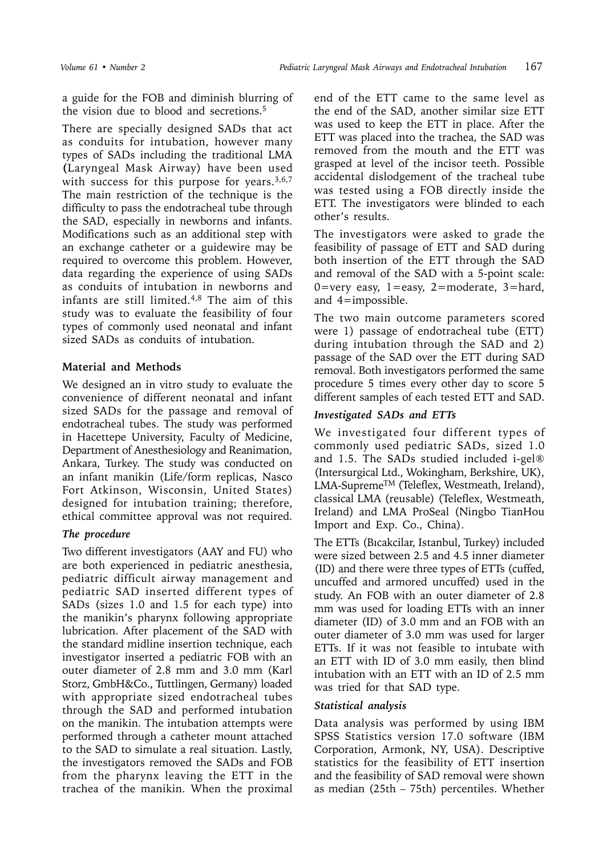a guide for the FOB and diminish blurring of the vision due to blood and secretions.5

There are specially designed SADs that act as conduits for intubation, however many types of SADs including the traditional LMA **(**Laryngeal Mask Airway) have been used with success for this purpose for years. $3,6,7$ The main restriction of the technique is the difficulty to pass the endotracheal tube through the SAD, especially in newborns and infants. Modifications such as an additional step with an exchange catheter or a guidewire may be required to overcome this problem. However, data regarding the experience of using SADs as conduits of intubation in newborns and infants are still limited. $4,8$  The aim of this study was to evaluate the feasibility of four types of commonly used neonatal and infant sized SADs as conduits of intubation.

## **Material and Methods**

We designed an in vitro study to evaluate the convenience of different neonatal and infant sized SADs for the passage and removal of endotracheal tubes. The study was performed in Hacettepe University, Faculty of Medicine, Department of Anesthesiology and Reanimation, Ankara, Turkey. The study was conducted on an infant manikin (Life/form replicas, Nasco Fort Atkinson, Wisconsin, United States) designed for intubation training; therefore, ethical committee approval was not required.

# *The procedure*

Two different investigators (AAY and FU) who are both experienced in pediatric anesthesia, pediatric difficult airway management and pediatric SAD inserted different types of SADs (sizes 1.0 and 1.5 for each type) into the manikin's pharynx following appropriate lubrication. After placement of the SAD with the standard midline insertion technique, each investigator inserted a pediatric FOB with an outer diameter of 2.8 mm and 3.0 mm (Karl Storz, GmbH&Co., Tuttlingen, Germany) loaded with appropriate sized endotracheal tubes through the SAD and performed intubation on the manikin. The intubation attempts were performed through a catheter mount attached to the SAD to simulate a real situation. Lastly, the investigators removed the SADs and FOB from the pharynx leaving the ETT in the trachea of the manikin. When the proximal

end of the ETT came to the same level as the end of the SAD, another similar size ETT was used to keep the ETT in place. After the ETT was placed into the trachea, the SAD was removed from the mouth and the ETT was grasped at level of the incisor teeth. Possible accidental dislodgement of the tracheal tube was tested using a FOB directly inside the ETT. The investigators were blinded to each other's results.

The investigators were asked to grade the feasibility of passage of ETT and SAD during both insertion of the ETT through the SAD and removal of the SAD with a 5-point scale: 0=very easy,  $1 =$ easy,  $2 =$ moderate,  $3 =$ hard, and 4=impossible.

The two main outcome parameters scored were 1) passage of endotracheal tube (ETT) during intubation through the SAD and 2) passage of the SAD over the ETT during SAD removal. Both investigators performed the same procedure 5 times every other day to score 5 different samples of each tested ETT and SAD.

# *Investigated SADs and ETTs*

We investigated four different types of commonly used pediatric SADs, sized 1.0 and 1.5. The SADs studied included i-gel® (Intersurgical Ltd., Wokingham, Berkshire, UK), LMA-SupremeTM (Teleflex, Westmeath, Ireland), classical LMA (reusable) (Teleflex, Westmeath, Ireland) and LMA ProSeal (Ningbo TianHou Import and Exp. Co., China).

The ETTs (Bıcakcilar, Istanbul, Turkey) included were sized between 2.5 and 4.5 inner diameter (ID) and there were three types of ETTs (cuffed, uncuffed and armored uncuffed) used in the study. An FOB with an outer diameter of 2.8 mm was used for loading ETTs with an inner diameter (ID) of 3.0 mm and an FOB with an outer diameter of 3.0 mm was used for larger ETTs. If it was not feasible to intubate with an ETT with ID of 3.0 mm easily, then blind intubation with an ETT with an ID of 2.5 mm was tried for that SAD type.

# *Statistical analysis*

Data analysis was performed by using IBM SPSS Statistics version 17.0 software (IBM Corporation, Armonk, NY, USA). Descriptive statistics for the feasibility of ETT insertion and the feasibility of SAD removal were shown as median (25th – 75th) percentiles. Whether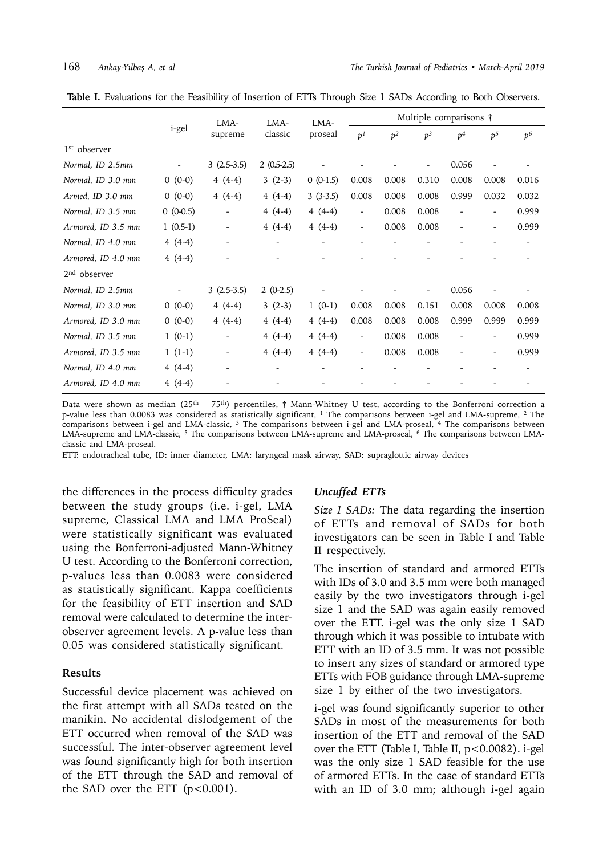|                          |            | LMA-         | LMA-         | LMA-       | Multiple comparisons †   |                |       |                |                |                |  |
|--------------------------|------------|--------------|--------------|------------|--------------------------|----------------|-------|----------------|----------------|----------------|--|
|                          | i-gel      | supreme      | classic      | proseal    | p <sup>1</sup>           | p <sup>2</sup> | $p^3$ | p <sup>4</sup> | p <sup>5</sup> | p <sup>6</sup> |  |
| 1 <sup>st</sup> observer |            |              |              |            |                          |                |       |                |                |                |  |
| Normal, ID 2.5mm         |            | $3(2.5-3.5)$ | $2(0.5-2.5)$ |            |                          |                |       | 0.056          |                |                |  |
| Normal, ID 3.0 mm        | $0(0-0)$   | $4(4-4)$     | $3(2-3)$     | $0(0-1.5)$ | 0.008                    | 0.008          | 0.310 | 0.008          | 0.008          | 0.016          |  |
| Armed, ID 3.0 mm         | $0(0-0)$   | $4(4-4)$     | $4(4-4)$     | $3(3-3.5)$ | 0.008                    | 0.008          | 0.008 | 0.999          | 0.032          | 0.032          |  |
| Normal, ID 3.5 mm        | $0(0-0.5)$ |              | $4(4-4)$     | $4(4-4)$   | $\overline{\phantom{a}}$ | 0.008          | 0.008 |                |                | 0.999          |  |
| Armored, ID 3.5 mm       | $1(0.5-1)$ |              | $4(4-4)$     | $4(4-4)$   | $\overline{\phantom{a}}$ | 0.008          | 0.008 |                |                | 0.999          |  |
| Normal, ID 4.0 mm        | $4(4-4)$   |              |              |            |                          |                |       |                |                |                |  |
| Armored, ID 4.0 mm       | $4(4-4)$   |              |              |            |                          |                |       |                |                |                |  |
| $2nd$ observer           |            |              |              |            |                          |                |       |                |                |                |  |
| Normal, ID 2.5mm         |            | $3(2.5-3.5)$ | $2(0-2.5)$   |            |                          |                |       | 0.056          |                |                |  |
| Normal, ID 3.0 mm        | $0(0-0)$   | $4(4-4)$     | $3(2-3)$     | $1(0-1)$   | 0.008                    | 0.008          | 0.151 | 0.008          | 0.008          | 0.008          |  |
| Armored, ID 3.0 mm       | $0(0-0)$   | $4(4-4)$     | $4(4-4)$     | $4(4-4)$   | 0.008                    | 0.008          | 0.008 | 0.999          | 0.999          | 0.999          |  |
| Normal, ID 3.5 mm        | $1(0-1)$   |              | $4(4-4)$     | $4(4-4)$   | $\overline{\phantom{a}}$ | 0.008          | 0.008 |                |                | 0.999          |  |
| Armored, ID 3.5 mm       | $1(1-1)$   |              | $4(4-4)$     | $4(4-4)$   | $\overline{\phantom{a}}$ | 0.008          | 0.008 |                |                | 0.999          |  |
| Normal, ID 4.0 mm        | $4(4-4)$   |              |              |            |                          |                |       |                |                |                |  |
| Armored, ID 4.0 mm       | $4(4-4)$   |              |              |            |                          |                |       |                |                |                |  |

**Table I.** Evaluations for the Feasibility of Insertion of ETTs Through Size 1 SADs According to Both Observers.

Data were shown as median ( $25<sup>th</sup> - 75<sup>th</sup>$ ) percentiles, † Mann-Whitney U test, according to the Bonferroni correction a p-value less than 0.0083 was considered as statistically significant, 1 The comparisons between i-gel and LMA-supreme, 2 The comparisons between i-gel and LMA-classic, <sup>3</sup> The comparisons between i-gel and LMA-proseal, <sup>4</sup> The comparisons between LMA-supreme and LMA-classic, 5 The comparisons between LMA-supreme and LMA-proseal, 6 The comparisons between LMAclassic and LMA-proseal.

ETT: endotracheal tube, ID: inner diameter, LMA: laryngeal mask airway, SAD: supraglottic airway devices

the differences in the process difficulty grades between the study groups (i.e. i-gel, LMA supreme, Classical LMA and LMA ProSeal) were statistically significant was evaluated using the Bonferroni-adjusted Mann-Whitney U test. According to the Bonferroni correction, p-values less than 0.0083 were considered as statistically significant. Kappa coefficients for the feasibility of ETT insertion and SAD removal were calculated to determine the interobserver agreement levels. A p-value less than 0.05 was considered statistically significant.

### **Results**

Successful device placement was achieved on the first attempt with all SADs tested on the manikin. No accidental dislodgement of the ETT occurred when removal of the SAD was successful. The inter-observer agreement level was found significantly high for both insertion of the ETT through the SAD and removal of the SAD over the ETT  $(p<0.001)$ .

### *Uncuffed ETTs*

*Size 1 SADs:* The data regarding the insertion of ETTs and removal of SADs for both investigators can be seen in Table I and Table II respectively.

The insertion of standard and armored ETTs with IDs of 3.0 and 3.5 mm were both managed easily by the two investigators through i-gel size 1 and the SAD was again easily removed over the ETT. i-gel was the only size 1 SAD through which it was possible to intubate with ETT with an ID of 3.5 mm. It was not possible to insert any sizes of standard or armored type ETTs with FOB guidance through LMA-supreme size 1 by either of the two investigators.

i-gel was found significantly superior to other SADs in most of the measurements for both insertion of the ETT and removal of the SAD over the ETT (Table I, Table II, p<0.0082). i-gel was the only size 1 SAD feasible for the use of armored ETTs. In the case of standard ETTs with an ID of 3.0 mm; although i-gel again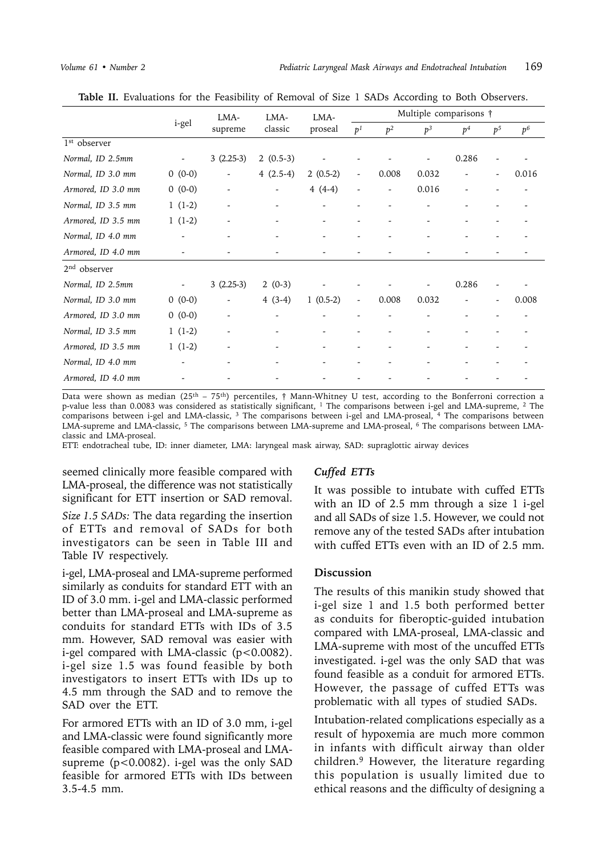|                          |                          | LMA-                     | LMA-                         | LMA-                     | Multiple comparisons †   |                |                          |                |                |                |  |
|--------------------------|--------------------------|--------------------------|------------------------------|--------------------------|--------------------------|----------------|--------------------------|----------------|----------------|----------------|--|
|                          | i-gel                    | supreme                  | classic                      | proseal                  | p <sup>1</sup>           | p <sup>2</sup> | $p^3$                    | p <sup>4</sup> | p <sup>5</sup> | p <sup>6</sup> |  |
| 1 <sup>st</sup> observer |                          |                          |                              |                          |                          |                |                          |                |                |                |  |
| Normal, ID 2.5mm         | $\overline{\phantom{a}}$ | $3(2.25-3)$              | $2(0.5-3)$                   |                          |                          |                |                          | 0.286          |                |                |  |
| Normal, ID 3.0 mm        | $0(0-0)$                 |                          | $4(2.5-4)$                   | $2(0.5-2)$               | $\overline{\phantom{a}}$ | 0.008          | 0.032                    |                |                | 0.016          |  |
| Armored, ID 3.0 mm       | $0(0-0)$                 |                          | $\overline{\phantom{a}}$     | $4(4-4)$                 |                          |                | 0.016                    |                |                |                |  |
| Normal, ID 3.5 mm        | $1(1-2)$                 |                          | $\qquad \qquad \blacksquare$ |                          |                          |                |                          |                |                |                |  |
| Armored, ID 3.5 mm       | $1(1-2)$                 | $\overline{\phantom{a}}$ | $\qquad \qquad \blacksquare$ | $\overline{\phantom{a}}$ |                          |                |                          |                |                |                |  |
| Normal, ID 4.0 mm        | $\overline{\phantom{a}}$ |                          | $\overline{\phantom{a}}$     | $\overline{\phantom{a}}$ |                          |                |                          |                |                |                |  |
| Armored, ID 4.0 mm       |                          |                          |                              |                          |                          |                |                          |                |                |                |  |
| $2nd$ observer           |                          |                          |                              |                          |                          |                |                          |                |                |                |  |
| Normal, ID 2.5mm         | $\overline{\phantom{a}}$ | $3(2.25-3)$              | $2(0-3)$                     |                          |                          |                | $\overline{\phantom{a}}$ | 0.286          |                |                |  |
| Normal, ID 3.0 mm        | $0(0-0)$                 | $\overline{\phantom{a}}$ | $4(3-4)$                     | $1(0.5-2)$               | $\overline{\phantom{a}}$ | 0.008          | 0.032                    |                |                | 0.008          |  |
| Armored, ID 3.0 mm       | $0(0-0)$                 |                          |                              |                          |                          |                |                          |                |                |                |  |
| Normal, ID 3.5 mm        | $1(1-2)$                 |                          | $\qquad \qquad \blacksquare$ |                          |                          |                |                          |                |                |                |  |
| Armored, ID 3.5 mm       | $1(1-2)$                 |                          | $\overline{\phantom{a}}$     |                          |                          |                |                          |                |                |                |  |
| Normal, ID 4.0 mm        |                          |                          |                              |                          |                          |                |                          |                |                |                |  |
| Armored, ID 4.0 mm       |                          |                          |                              |                          |                          |                |                          |                |                |                |  |

Table II. Evaluations for the Feasibility of Removal of Size 1 SADs According to Both Observers.

Data were shown as median ( $25<sup>th</sup> - 75<sup>th</sup>$ ) percentiles, † Mann-Whitney U test, according to the Bonferroni correction a p-value less than 0.0083 was considered as statistically significant, 1 The comparisons between i-gel and LMA-supreme, 2 The comparisons between i-gel and LMA-classic, 3 The comparisons between i-gel and LMA-proseal, 4 The comparisons between LMA-supreme and LMA-classic, 5 The comparisons between LMA-supreme and LMA-proseal, 6 The comparisons between LMAclassic and LMA-proseal.

ETT: endotracheal tube, ID: inner diameter, LMA: laryngeal mask airway, SAD: supraglottic airway devices

seemed clinically more feasible compared with LMA-proseal, the difference was not statistically significant for ETT insertion or SAD removal.

*Size 1.5 SADs:* The data regarding the insertion of ETTs and removal of SADs for both investigators can be seen in Table III and Table IV respectively.

i-gel, LMA-proseal and LMA-supreme performed similarly as conduits for standard ETT with an ID of 3.0 mm. i-gel and LMA-classic performed better than LMA-proseal and LMA-supreme as conduits for standard ETTs with IDs of 3.5 mm. However, SAD removal was easier with i-gel compared with LMA-classic (p<0.0082). i-gel size 1.5 was found feasible by both investigators to insert ETTs with IDs up to 4.5 mm through the SAD and to remove the SAD over the ETT.

For armored ETTs with an ID of 3.0 mm, i-gel and LMA-classic were found significantly more feasible compared with LMA-proseal and LMAsupreme (p<0.0082). i-gel was the only SAD feasible for armored ETTs with IDs between 3.5-4.5 mm.

### *Cuffed ETTs*

It was possible to intubate with cuffed ETTs with an ID of 2.5 mm through a size 1 i-gel and all SADs of size 1.5. However, we could not remove any of the tested SADs after intubation with cuffed ETTs even with an ID of 2.5 mm.

### **Discussion**

The results of this manikin study showed that i-gel size 1 and 1.5 both performed better as conduits for fiberoptic-guided intubation compared with LMA-proseal, LMA-classic and LMA-supreme with most of the uncuffed ETTs investigated. i-gel was the only SAD that was found feasible as a conduit for armored ETTs. However, the passage of cuffed ETTs was problematic with all types of studied SADs.

Intubation-related complications especially as a result of hypoxemia are much more common in infants with difficult airway than older children.9 However, the literature regarding this population is usually limited due to ethical reasons and the difficulty of designing a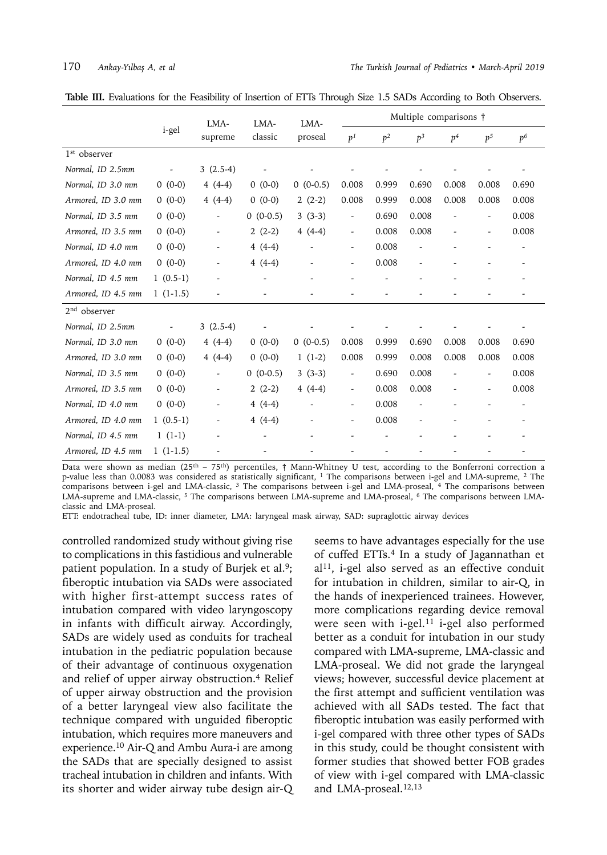|  |  |  |  |  | <b>Table III.</b> Evaluations for the Feasibility of Insertion of ETTs Through Size 1.5 SADs According to Both Observers. |
|--|--|--|--|--|---------------------------------------------------------------------------------------------------------------------------|
|--|--|--|--|--|---------------------------------------------------------------------------------------------------------------------------|

|                          |            |                          | LMA-<br>LMA-             | LMA-                     | Multiple comparisons †   |                          |                |                |                          |                |  |
|--------------------------|------------|--------------------------|--------------------------|--------------------------|--------------------------|--------------------------|----------------|----------------|--------------------------|----------------|--|
|                          | i-gel      | supreme                  | classic                  | proseal                  | p <sup>1</sup>           | p <sup>2</sup>           | p <sup>3</sup> | p <sup>4</sup> | p <sub>5</sub>           | p <sup>6</sup> |  |
| 1 <sup>st</sup> observer |            |                          |                          |                          |                          |                          |                |                |                          |                |  |
| Normal, ID 2.5mm         |            | $3(2.5-4)$               |                          |                          |                          |                          |                |                |                          |                |  |
| Normal, ID 3.0 mm        | $0(0-0)$   | $4(4-4)$                 | $0(0-0)$                 | $0(0-0.5)$               | 0.008                    | 0.999                    | 0.690          | 0.008          | 0.008                    | 0.690          |  |
| Armored, ID 3.0 mm       | $0(0-0)$   | $4(4-4)$                 | $0(0-0)$                 | $2(2-2)$                 | 0.008                    | 0.999                    | 0.008          | 0.008          | 0.008                    | 0.008          |  |
| Normal, ID 3.5 mm        | $0(0-0)$   |                          | $0(0-0.5)$               | $3(3-3)$                 | $\overline{\phantom{a}}$ | 0.690                    | 0.008          |                | $\overline{\phantom{a}}$ | 0.008          |  |
| Armored, ID 3.5 mm       | $0(0-0)$   | $\overline{\phantom{a}}$ | $2(2-2)$                 | $4(4-4)$                 | $\overline{\phantom{a}}$ | 0.008                    | 0.008          |                | $\overline{\phantom{a}}$ | 0.008          |  |
| Normal, ID 4.0 mm        | $0(0-0)$   | $\overline{\phantom{a}}$ | $4(4-4)$                 |                          | $\overline{\phantom{a}}$ | 0.008                    |                |                |                          | -              |  |
| Armored, ID 4.0 mm       | $0(0-0)$   | $\overline{\phantom{a}}$ | $4(4-4)$                 |                          | $\overline{\phantom{a}}$ | 0.008                    |                |                |                          |                |  |
| Normal, ID 4.5 mm        | $1(0.5-1)$ | $\overline{a}$           | $\overline{\phantom{a}}$ | $\overline{\phantom{a}}$ |                          | $\overline{\phantom{a}}$ |                |                |                          |                |  |
| Armored, ID 4.5 mm       | $1(1-1.5)$ |                          |                          |                          |                          |                          |                |                |                          |                |  |
| $2nd$ observer           |            |                          |                          |                          |                          |                          |                |                |                          |                |  |
| Normal, ID 2.5mm         |            | $3(2.5-4)$               |                          |                          |                          |                          |                |                |                          |                |  |
| Normal, ID 3.0 mm        | $0(0-0)$   | $4(4-4)$                 | $0(0-0)$                 | $0(0-0.5)$               | 0.008                    | 0.999                    | 0.690          | 0.008          | 0.008                    | 0.690          |  |
| Armored, ID 3.0 mm       | $0(0-0)$   | $4(4-4)$                 | $0(0-0)$                 | $1(1-2)$                 | 0.008                    | 0.999                    | 0.008          | 0.008          | 0.008                    | 0.008          |  |
| Normal, ID 3.5 mm        | $0(0-0)$   | $\overline{\phantom{a}}$ | $0(0-0.5)$               | $3(3-3)$                 | $\overline{\phantom{a}}$ | 0.690                    | 0.008          |                | $\overline{\phantom{a}}$ | 0.008          |  |
| Armored, ID 3.5 mm       | $0(0-0)$   | $\overline{\phantom{a}}$ | $2(2-2)$                 | $4(4-4)$                 | $\overline{\phantom{a}}$ | 0.008                    | 0.008          |                | $\overline{\phantom{a}}$ | 0.008          |  |
| Normal, ID 4.0 mm        | $0(0-0)$   | $\overline{\phantom{a}}$ | $4(4-4)$                 |                          | $\overline{\phantom{a}}$ | 0.008                    |                |                |                          |                |  |
| Armored, ID 4.0 mm       | $1(0.5-1)$ | $\blacksquare$           | $4(4-4)$                 | $\overline{\phantom{a}}$ | $\overline{\phantom{a}}$ | 0.008                    |                |                |                          |                |  |
| Normal, ID 4.5 mm        | $1(1-1)$   |                          |                          |                          |                          |                          |                |                |                          |                |  |
| Armored, ID 4.5 mm       | $1(1-1.5)$ |                          |                          |                          |                          |                          |                |                |                          |                |  |

Data were shown as median (25<sup>th</sup> – 75<sup>th</sup>) percentiles, † Mann-Whitney U test, according to the Bonferroni correction a p-value less than 0.0083 was considered as statistically significant, 1 The comparisons between i-gel and LMA-supreme, 2 The comparisons between i-gel and LMA-classic, 3 The comparisons between i-gel and LMA-proseal, 4 The comparisons between LMA-supreme and LMA-classic, 5 The comparisons between LMA-supreme and LMA-proseal, 6 The comparisons between LMAclassic and LMA-proseal.

ETT: endotracheal tube, ID: inner diameter, LMA: laryngeal mask airway, SAD: supraglottic airway devices

controlled randomized study without giving rise to complications in this fastidious and vulnerable patient population. In a study of Burjek et al.<sup>9</sup>; fiberoptic intubation via SADs were associated with higher first-attempt success rates of intubation compared with video laryngoscopy in infants with difficult airway. Accordingly, SADs are widely used as conduits for tracheal intubation in the pediatric population because of their advantage of continuous oxygenation and relief of upper airway obstruction.<sup>4</sup> Relief of upper airway obstruction and the provision of a better laryngeal view also facilitate the technique compared with unguided fiberoptic intubation, which requires more maneuvers and experience.10 Air-Q and Ambu Aura-i are among the SADs that are specially designed to assist tracheal intubation in children and infants. With its shorter and wider airway tube design air-Q seems to have advantages especially for the use of cuffed ETTs.4 In a study of Jagannathan et  $al<sup>11</sup>$ , i-gel also served as an effective conduit for intubation in children, similar to air-Q, in the hands of inexperienced trainees. However, more complications regarding device removal were seen with i-gel.<sup>11</sup> i-gel also performed better as a conduit for intubation in our study compared with LMA-supreme, LMA-classic and LMA-proseal. We did not grade the laryngeal views; however, successful device placement at the first attempt and sufficient ventilation was achieved with all SADs tested. The fact that fiberoptic intubation was easily performed with i-gel compared with three other types of SADs in this study, could be thought consistent with former studies that showed better FOB grades of view with i-gel compared with LMA-classic and LMA-proseal.<sup>12,13</sup>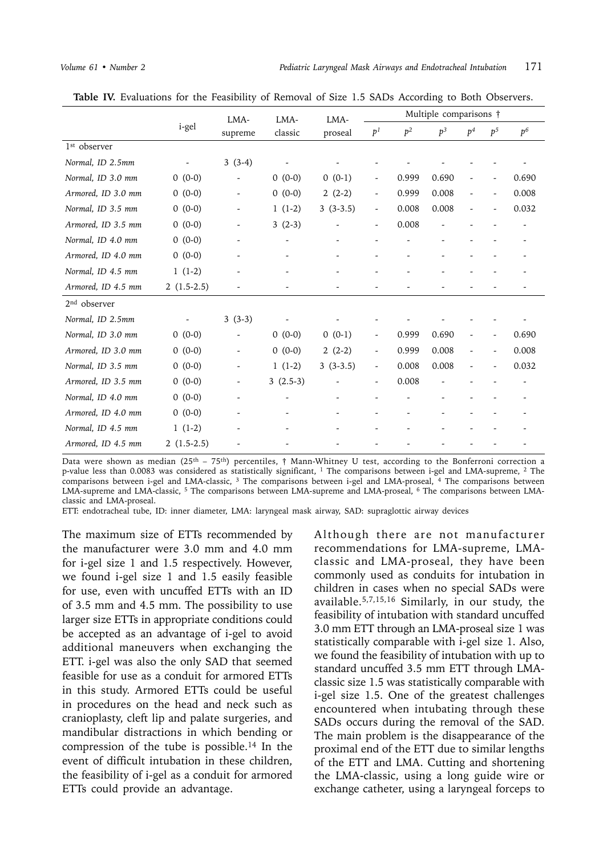|                          |              | LMA-                     | LMA-                     | LMA-       |                          | Multiple comparisons † |                |                |                |                |  |  |
|--------------------------|--------------|--------------------------|--------------------------|------------|--------------------------|------------------------|----------------|----------------|----------------|----------------|--|--|
|                          | i-gel        | supreme                  | classic                  | proseal    | p <sup>1</sup>           | p <sup>2</sup>         | p <sup>3</sup> | p <sup>4</sup> | p <sup>5</sup> | p <sup>6</sup> |  |  |
| 1 <sup>st</sup> observer |              |                          |                          |            |                          |                        |                |                |                |                |  |  |
| Normal, ID 2.5mm         |              | $3(3-4)$                 |                          |            |                          |                        |                |                |                |                |  |  |
| Normal, ID 3.0 mm        | $0(0-0)$     | -                        | $0(0-0)$                 | $0(0-1)$   |                          | 0.999                  | 0.690          |                |                | 0.690          |  |  |
| Armored, ID 3.0 mm       | $0(0-0)$     | $\overline{\phantom{a}}$ | $0(0-0)$                 | $2(2-2)$   | $\overline{\phantom{a}}$ | 0.999                  | 0.008          |                |                | 0.008          |  |  |
| Normal, ID 3.5 mm        | $0(0-0)$     | $\overline{\phantom{a}}$ | $1(1-2)$                 | $3(3-3.5)$ | $\overline{\phantom{a}}$ | 0.008                  | 0.008          |                |                | 0.032          |  |  |
| Armored, ID 3.5 mm       | $0(0-0)$     | -                        | $3(2-3)$                 |            | $\overline{\phantom{a}}$ | 0.008                  |                |                |                |                |  |  |
| Normal, ID 4.0 mm        | $0(0-0)$     |                          | $\overline{\phantom{a}}$ |            |                          |                        |                |                |                |                |  |  |
| Armored, ID 4.0 mm       | $0(0-0)$     | $\overline{\phantom{0}}$ |                          |            |                          |                        |                |                |                |                |  |  |
| Normal, ID 4.5 mm        | $1(1-2)$     | -                        |                          |            |                          |                        |                |                |                |                |  |  |
| Armored, ID 4.5 mm       | $2(1.5-2.5)$ |                          |                          |            |                          |                        |                |                |                |                |  |  |
| $2nd$ observer           |              |                          |                          |            |                          |                        |                |                |                |                |  |  |
| Normal, ID 2.5mm         |              | $3(3-3)$                 |                          |            |                          |                        |                |                |                |                |  |  |
| Normal, ID 3.0 mm        | $0(0-0)$     | ۰                        | $0(0-0)$                 | $0(0-1)$   | $\overline{\phantom{a}}$ | 0.999                  | 0.690          |                |                | 0.690          |  |  |
| Armored, ID 3.0 mm       | $0(0-0)$     | $\overline{\phantom{a}}$ | $0(0-0)$                 | $2(2-2)$   | $\overline{\phantom{a}}$ | 0.999                  | 0.008          |                |                | 0.008          |  |  |
| Normal, ID 3.5 mm        | $0(0-0)$     | $\overline{\phantom{a}}$ | $1(1-2)$                 | $3(3-3.5)$ | $\overline{\phantom{a}}$ | 0.008                  | 0.008          |                |                | 0.032          |  |  |
| Armored, ID 3.5 mm       | $0(0-0)$     | ۰                        | $3(2.5-3)$               |            | $\overline{\phantom{a}}$ | 0.008                  |                |                |                |                |  |  |
| Normal, ID 4.0 mm        | $0(0-0)$     | $\overline{\phantom{0}}$ |                          |            |                          |                        |                |                |                |                |  |  |
| Armored, ID 4.0 mm       | $0(0-0)$     |                          |                          |            |                          |                        |                |                |                |                |  |  |
| Normal, ID 4.5 mm        | $1(1-2)$     |                          |                          |            |                          |                        |                |                |                |                |  |  |
| Armored, ID 4.5 mm       | $2(1.5-2.5)$ |                          |                          |            |                          |                        |                |                |                |                |  |  |

Table IV. Evaluations for the Feasibility of Removal of Size 1.5 SADs According to Both Observers.

Data were shown as median (25<sup>th</sup> – 75<sup>th</sup>) percentiles, † Mann-Whitney U test, according to the Bonferroni correction a p-value less than 0.0083 was considered as statistically significant, 1 The comparisons between i-gel and LMA-supreme, 2 The comparisons between i-gel and LMA-classic, 3 The comparisons between i-gel and LMA-proseal, 4 The comparisons between LMA-supreme and LMA-classic, 5 The comparisons between LMA-supreme and LMA-proseal, 6 The comparisons between LMAclassic and LMA-proseal.

ETT: endotracheal tube, ID: inner diameter, LMA: laryngeal mask airway, SAD: supraglottic airway devices

The maximum size of ETTs recommended by the manufacturer were 3.0 mm and 4.0 mm for i-gel size 1 and 1.5 respectively. However, we found i-gel size 1 and 1.5 easily feasible for use, even with uncuffed ETTs with an ID of 3.5 mm and 4.5 mm. The possibility to use larger size ETTs in appropriate conditions could be accepted as an advantage of i-gel to avoid additional maneuvers when exchanging the ETT. i-gel was also the only SAD that seemed feasible for use as a conduit for armored ETTs in this study. Armored ETTs could be useful in procedures on the head and neck such as cranioplasty, cleft lip and palate surgeries, and mandibular distractions in which bending or compression of the tube is possible.<sup>14</sup> In the event of difficult intubation in these children, the feasibility of i-gel as a conduit for armored ETTs could provide an advantage.

Although there are not manufacturer recommendations for LMA-supreme, LMAclassic and LMA-proseal, they have been commonly used as conduits for intubation in children in cases when no special SADs were available.5,7,15,16 Similarly, in our study, the feasibility of intubation with standard uncuffed 3.0 mm ETT through an LMA-proseal size 1 was statistically comparable with i-gel size 1. Also, we found the feasibility of intubation with up to standard uncuffed 3.5 mm ETT through LMAclassic size 1.5 was statistically comparable with i-gel size 1.5. One of the greatest challenges encountered when intubating through these SADs occurs during the removal of the SAD. The main problem is the disappearance of the proximal end of the ETT due to similar lengths of the ETT and LMA. Cutting and shortening the LMA-classic, using a long guide wire or exchange catheter, using a laryngeal forceps to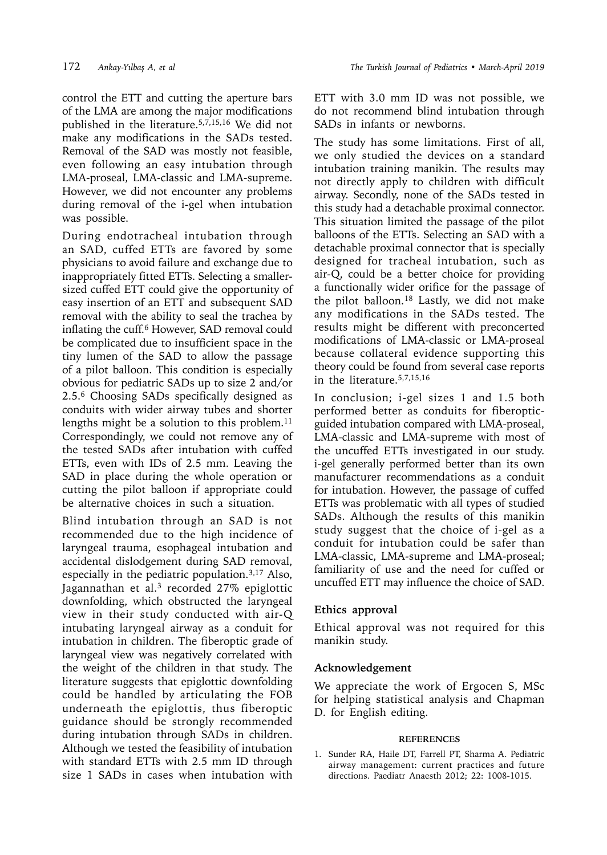control the ETT and cutting the aperture bars of the LMA are among the major modifications published in the literature.5,7,15,16 We did not make any modifications in the SADs tested. Removal of the SAD was mostly not feasible, even following an easy intubation through LMA-proseal, LMA-classic and LMA-supreme. However, we did not encounter any problems during removal of the i-gel when intubation was possible.

During endotracheal intubation through an SAD, cuffed ETTs are favored by some physicians to avoid failure and exchange due to inappropriately fitted ETTs. Selecting a smallersized cuffed ETT could give the opportunity of easy insertion of an ETT and subsequent SAD removal with the ability to seal the trachea by inflating the cuff.<sup>6</sup> However, SAD removal could be complicated due to insufficient space in the tiny lumen of the SAD to allow the passage of a pilot balloon. This condition is especially obvious for pediatric SADs up to size 2 and/or 2.5.6 Choosing SADs specifically designed as conduits with wider airway tubes and shorter lengths might be a solution to this problem.<sup>11</sup> Correspondingly, we could not remove any of the tested SADs after intubation with cuffed ETTs, even with IDs of 2.5 mm. Leaving the SAD in place during the whole operation or cutting the pilot balloon if appropriate could be alternative choices in such a situation.

Blind intubation through an SAD is not recommended due to the high incidence of laryngeal trauma, esophageal intubation and accidental dislodgement during SAD removal, especially in the pediatric population.3,17 Also, Jagannathan et al. $3$  recorded 27% epiglottic downfolding, which obstructed the laryngeal view in their study conducted with air-Q intubating laryngeal airway as a conduit for intubation in children. The fiberoptic grade of laryngeal view was negatively correlated with the weight of the children in that study. The literature suggests that epiglottic downfolding could be handled by articulating the FOB underneath the epiglottis, thus fiberoptic guidance should be strongly recommended during intubation through SADs in children. Although we tested the feasibility of intubation with standard ETTs with 2.5 mm ID through size 1 SADs in cases when intubation with

ETT with 3.0 mm ID was not possible, we do not recommend blind intubation through SADs in infants or newborns.

The study has some limitations. First of all, we only studied the devices on a standard intubation training manikin. The results may not directly apply to children with difficult airway. Secondly, none of the SADs tested in this study had a detachable proximal connector. This situation limited the passage of the pilot balloons of the ETTs. Selecting an SAD with a detachable proximal connector that is specially designed for tracheal intubation, such as air-Q, could be a better choice for providing a functionally wider orifice for the passage of the pilot balloon.18 Lastly, we did not make any modifications in the SADs tested. The results might be different with preconcerted modifications of LMA-classic or LMA-proseal because collateral evidence supporting this theory could be found from several case reports in the literature.5,7,15,16

In conclusion; i-gel sizes 1 and 1.5 both performed better as conduits for fiberopticguided intubation compared with LMA-proseal, LMA-classic and LMA-supreme with most of the uncuffed ETTs investigated in our study. i-gel generally performed better than its own manufacturer recommendations as a conduit for intubation. However, the passage of cuffed ETTs was problematic with all types of studied SADs. Although the results of this manikin study suggest that the choice of i-gel as a conduit for intubation could be safer than LMA-classic, LMA-supreme and LMA-proseal; familiarity of use and the need for cuffed or uncuffed ETT may influence the choice of SAD.

# **Ethics approval**

Ethical approval was not required for this manikin study.

### **Acknowledgement**

We appreciate the work of Ergocen S, MSc for helping statistical analysis and Chapman D. for English editing.

### **REFERENCES**

1. Sunder RA, Haile DT, Farrell PT, Sharma A. Pediatric airway management: current practices and future directions. Paediatr Anaesth 2012; 22: 1008-1015.